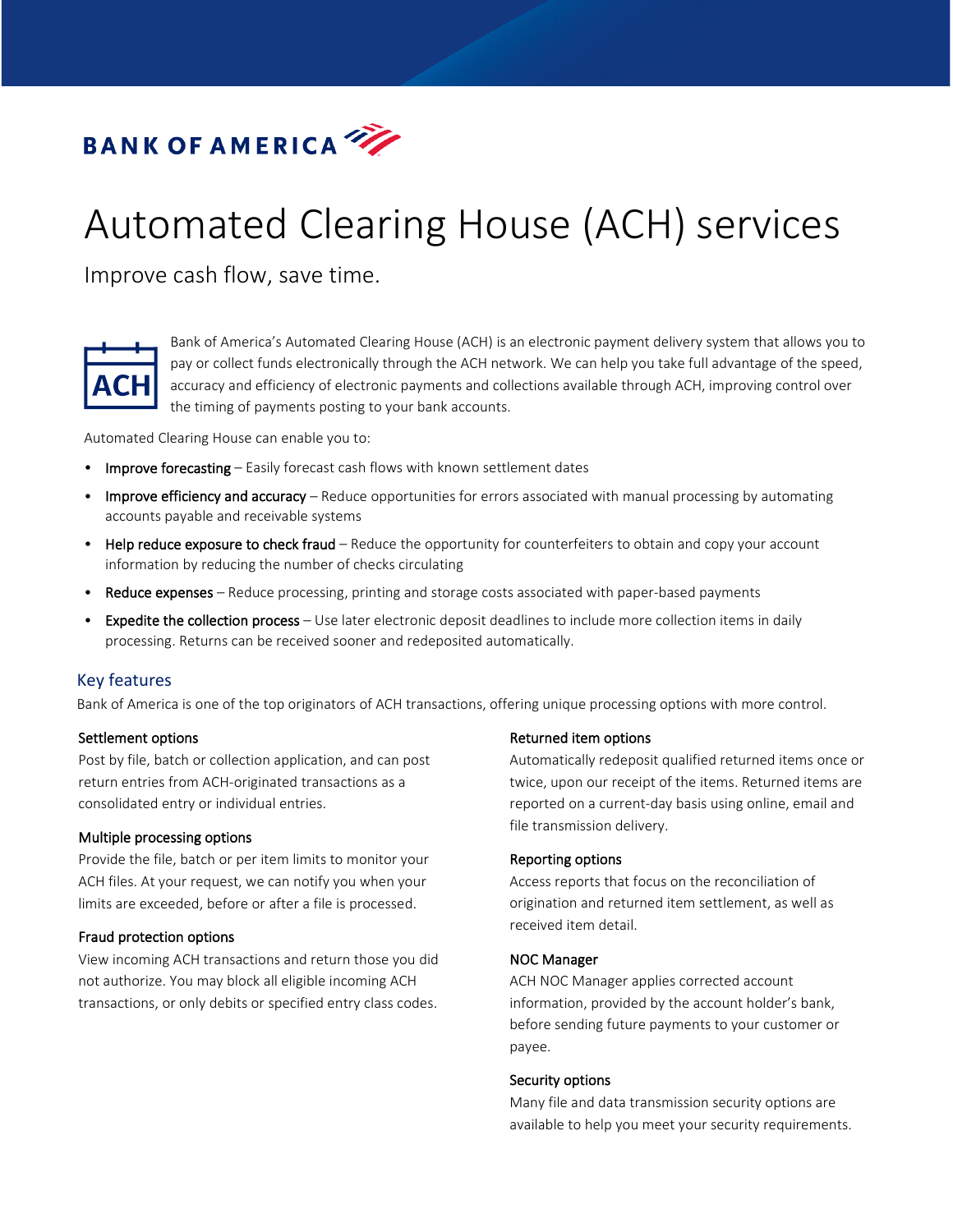

# Automated Clearing House (ACH) services

Improve cash flow, save time.



Bank of America's Automated Clearing House (ACH) is an electronic payment delivery system that allows you to pay or collect funds electronically through the ACH network. We can help you take full advantage of the speed, accuracy and efficiency of electronic payments and collections available through ACH, improving control over the timing of payments posting to your bank accounts.

Automated Clearing House can enable you to:

- Improve forecasting Easily forecast cash flows with known settlement dates
- Improve efficiency and accuracy Reduce opportunities for errors associated with manual processing by automating accounts payable and receivable systems
- Help reduce exposure to check fraud Reduce the opportunity for counterfeiters to obtain and copy your account information by reducing the number of checks circulating
- Reduce expenses Reduce processing, printing and storage costs associated with paper-based payments
- Expedite the collection process Use later electronic deposit deadlines to include more collection items in daily processing. Returns can be received sooner and redeposited automatically.

# Key features

Bank of America is one of the top originators of ACH transactions, offering unique processing options with more control.

## Settlement options

Post by file, batch or collection application, and can post return entries from ACH-originated transactions as a consolidated entry or individual entries.

## Multiple processing options

Provide the file, batch or per item limits to monitor your ACH files. At your request, we can notify you when your limits are exceeded, before or after a file is processed.

## Fraud protection options

View incoming ACH transactions and return those you did not authorize. You may block all eligible incoming ACH transactions, or only debits or specified entry class codes.

## Returned item options

Automatically redeposit qualified returned items once or twice, upon our receipt of the items. Returned items are reported on a current-day basis using online, email and file transmission delivery.

## Reporting options

Access reports that focus on the reconciliation of origination and returned item settlement, as well as received item detail.

#### NOC Manager

ACH NOC Manager applies corrected account information, provided by the account holder's bank, before sending future payments to your customer or payee.

## Security options

Many file and data transmission security options are available to help you meet your security requirements.